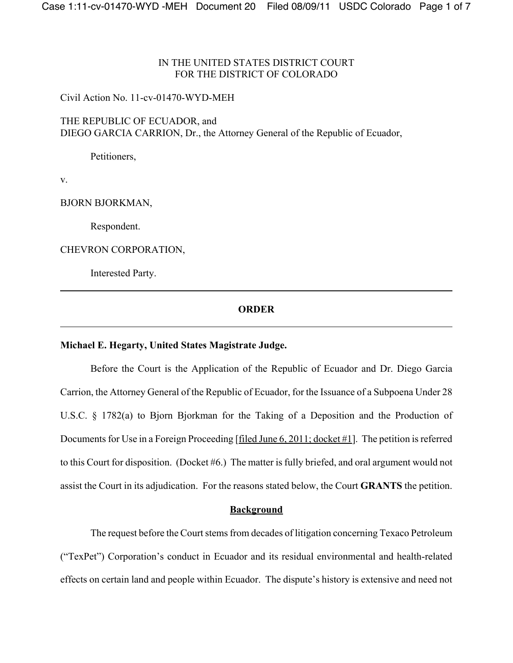# IN THE UNITED STATES DISTRICT COURT FOR THE DISTRICT OF COLORADO

### Civil Action No. 11-cv-01470-WYD-MEH

THE REPUBLIC OF ECUADOR, and DIEGO GARCIA CARRION, Dr., the Attorney General of the Republic of Ecuador,

Petitioners,

v.

BJORN BJORKMAN,

Respondent.

CHEVRON CORPORATION,

Interested Party.

# **ORDER**

### **Michael E. Hegarty, United States Magistrate Judge.**

Before the Court is the Application of the Republic of Ecuador and Dr. Diego Garcia Carrion, the Attorney General of the Republic of Ecuador, for the Issuance of a Subpoena Under 28 U.S.C. § 1782(a) to Bjorn Bjorkman for the Taking of a Deposition and the Production of Documents for Use in a Foreign Proceeding [filed June  $6, 2011$ ; docket  $\#1$ ]. The petition is referred to this Court for disposition. (Docket #6.) The matter is fully briefed, and oral argument would not assist the Court in its adjudication. For the reasons stated below, the Court **GRANTS** the petition.

### **Background**

The request before the Court stems from decades of litigation concerning Texaco Petroleum ("TexPet") Corporation's conduct in Ecuador and its residual environmental and health-related effects on certain land and people within Ecuador. The dispute's history is extensive and need not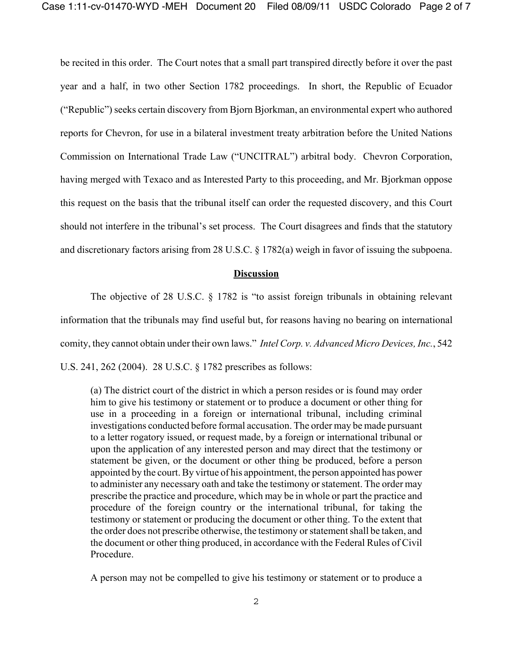be recited in this order. The Court notes that a small part transpired directly before it over the past year and a half, in two other Section 1782 proceedings. In short, the Republic of Ecuador ("Republic") seeks certain discovery from Bjorn Bjorkman, an environmental expert who authored reports for Chevron, for use in a bilateral investment treaty arbitration before the United Nations Commission on International Trade Law ("UNCITRAL") arbitral body. Chevron Corporation, having merged with Texaco and as Interested Party to this proceeding, and Mr. Bjorkman oppose this request on the basis that the tribunal itself can order the requested discovery, and this Court should not interfere in the tribunal's set process. The Court disagrees and finds that the statutory and discretionary factors arising from 28 U.S.C. § 1782(a) weigh in favor of issuing the subpoena.

### **Discussion**

The objective of 28 U.S.C. § 1782 is "to assist foreign tribunals in obtaining relevant information that the tribunals may find useful but, for reasons having no bearing on international comity, they cannot obtain under their own laws." *Intel Corp. v. Advanced Micro Devices, Inc.*, 542 U.S. 241, 262 (2004). 28 U.S.C. § 1782 prescribes as follows:

(a) The district court of the district in which a person resides or is found may order him to give his testimony or statement or to produce a document or other thing for use in a proceeding in a foreign or international tribunal, including criminal investigations conducted before formal accusation. The order may be made pursuant to a letter rogatory issued, or request made, by a foreign or international tribunal or upon the application of any interested person and may direct that the testimony or statement be given, or the document or other thing be produced, before a person appointed by the court. By virtue of his appointment, the person appointed has power to administer any necessary oath and take the testimony or statement. The order may prescribe the practice and procedure, which may be in whole or part the practice and procedure of the foreign country or the international tribunal, for taking the testimony or statement or producing the document or other thing. To the extent that the order does not prescribe otherwise, the testimony or statement shall be taken, and the document or other thing produced, in accordance with the Federal Rules of Civil Procedure.

A person may not be compelled to give his testimony or statement or to produce a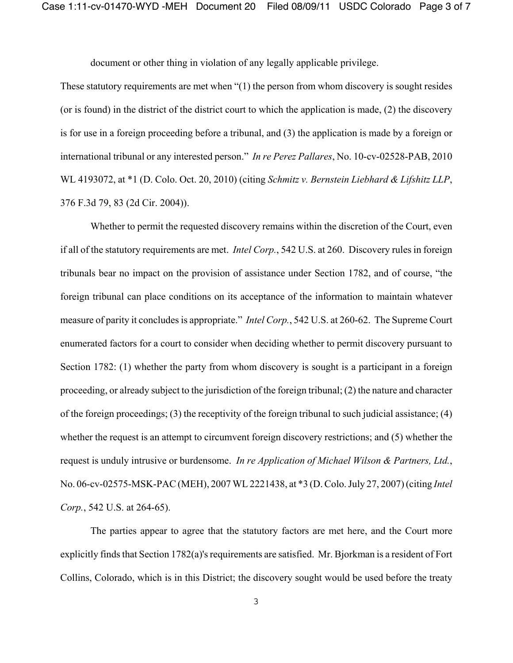document or other thing in violation of any legally applicable privilege.

These statutory requirements are met when "(1) the person from whom discovery is sought resides (or is found) in the district of the district court to which the application is made, (2) the discovery is for use in a foreign proceeding before a tribunal, and (3) the application is made by a foreign or international tribunal or any interested person." *In re Perez Pallares*, No. 10-cv-02528-PAB, 2010 WL 4193072, at \*1 (D. Colo. Oct. 20, 2010) (citing *Schmitz v. Bernstein Liebhard & Lifshitz LLP*, 376 F.3d 79, 83 (2d Cir. 2004)).

Whether to permit the requested discovery remains within the discretion of the Court, even if all of the statutory requirements are met. *Intel Corp.*, 542 U.S. at 260. Discovery rules in foreign tribunals bear no impact on the provision of assistance under Section 1782, and of course, "the foreign tribunal can place conditions on its acceptance of the information to maintain whatever measure of parity it concludes is appropriate." *Intel Corp.*, 542 U.S. at 260-62. The Supreme Court enumerated factors for a court to consider when deciding whether to permit discovery pursuant to Section 1782: (1) whether the party from whom discovery is sought is a participant in a foreign proceeding, or already subject to the jurisdiction of the foreign tribunal; (2) the nature and character of the foreign proceedings; (3) the receptivity of the foreign tribunal to such judicial assistance; (4) whether the request is an attempt to circumvent foreign discovery restrictions; and (5) whether the request is unduly intrusive or burdensome. *In re Application of Michael Wilson & Partners, Ltd.*, No. 06-cv-02575-MSK-PAC (MEH), 2007 WL 2221438, at \*3 (D. Colo. July 27, 2007) (citing *Intel Corp.*, 542 U.S. at 264-65).

The parties appear to agree that the statutory factors are met here, and the Court more explicitly finds that Section 1782(a)'s requirements are satisfied. Mr. Bjorkman is a resident of Fort Collins, Colorado, which is in this District; the discovery sought would be used before the treaty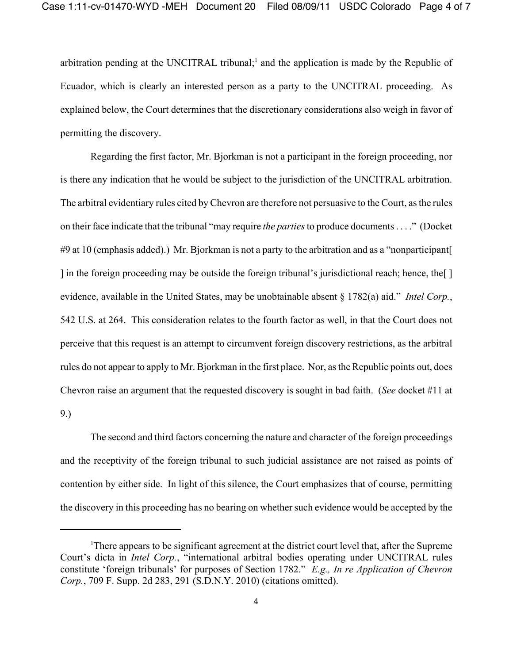arbitration pending at the UNCITRAL tribunal;<sup>1</sup> and the application is made by the Republic of Ecuador, which is clearly an interested person as a party to the UNCITRAL proceeding. As explained below, the Court determines that the discretionary considerations also weigh in favor of permitting the discovery.

Regarding the first factor, Mr. Bjorkman is not a participant in the foreign proceeding, nor is there any indication that he would be subject to the jurisdiction of the UNCITRAL arbitration. The arbitral evidentiary rules cited by Chevron are therefore not persuasive to the Court, as the rules on their face indicate that the tribunal "may require *the parties* to produce documents . . . ." (Docket #9 at 10 (emphasis added).) Mr. Bjorkman is not a party to the arbitration and as a "nonparticipant[ ] in the foreign proceeding may be outside the foreign tribunal's jurisdictional reach; hence, the[ ] evidence, available in the United States, may be unobtainable absent § 1782(a) aid." *Intel Corp.*, 542 U.S. at 264. This consideration relates to the fourth factor as well, in that the Court does not perceive that this request is an attempt to circumvent foreign discovery restrictions, as the arbitral rules do not appear to apply to Mr. Bjorkman in the first place. Nor, as the Republic points out, does Chevron raise an argument that the requested discovery is sought in bad faith. (*See* docket #11 at 9.)

The second and third factors concerning the nature and character of the foreign proceedings and the receptivity of the foreign tribunal to such judicial assistance are not raised as points of contention by either side. In light of this silence, the Court emphasizes that of course, permitting the discovery in this proceeding has no bearing on whether such evidence would be accepted by the

<sup>&</sup>lt;sup>1</sup>There appears to be significant agreement at the district court level that, after the Supreme Court's dicta in *Intel Corp.*, "international arbitral bodies operating under UNCITRAL rules constitute 'foreign tribunals' for purposes of Section 1782." *E.g., In re Application of Chevron Corp.*, 709 F. Supp. 2d 283, 291 (S.D.N.Y. 2010) (citations omitted).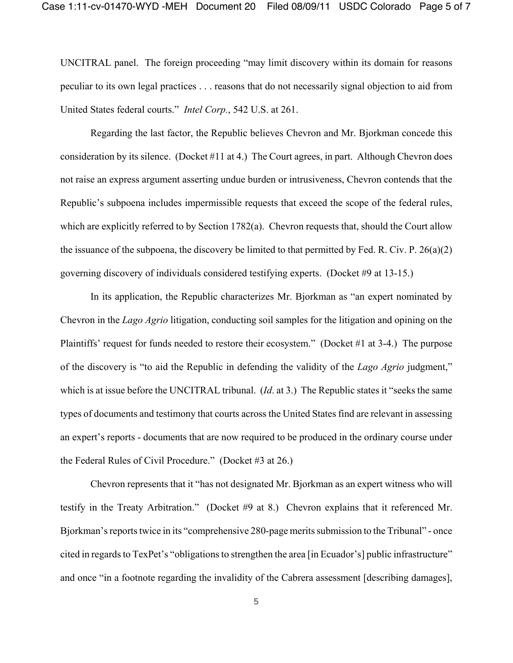UNCITRAL panel. The foreign proceeding "may limit discovery within its domain for reasons peculiar to its own legal practices . . . reasons that do not necessarily signal objection to aid from United States federal courts." *Intel Corp.*, 542 U.S. at 261.

Regarding the last factor, the Republic believes Chevron and Mr. Bjorkman concede this consideration by its silence. (Docket #11 at 4.) The Court agrees, in part. Although Chevron does not raise an express argument asserting undue burden or intrusiveness, Chevron contends that the Republic's subpoena includes impermissible requests that exceed the scope of the federal rules, which are explicitly referred to by Section 1782(a). Chevron requests that, should the Court allow the issuance of the subpoena, the discovery be limited to that permitted by Fed. R. Civ. P. 26(a)(2) governing discovery of individuals considered testifying experts. (Docket #9 at 13-15.)

In its application, the Republic characterizes Mr. Bjorkman as "an expert nominated by Chevron in the *Lago Agrio* litigation, conducting soil samples for the litigation and opining on the Plaintiffs' request for funds needed to restore their ecosystem." (Docket #1 at 3-4.) The purpose of the discovery is "to aid the Republic in defending the validity of the *Lago Agrio* judgment," which is at issue before the UNCITRAL tribunal. (*Id*. at 3.) The Republic states it "seeks the same types of documents and testimony that courts across the United States find are relevant in assessing an expert's reports - documents that are now required to be produced in the ordinary course under the Federal Rules of Civil Procedure." (Docket #3 at 26.)

Chevron represents that it "has not designated Mr. Bjorkman as an expert witness who will testify in the Treaty Arbitration." (Docket #9 at 8.) Chevron explains that it referenced Mr. Bjorkman's reports twice in its "comprehensive 280-page merits submission to the Tribunal" - once cited in regards to TexPet's "obligations to strengthen the area [in Ecuador's] public infrastructure" and once "in a footnote regarding the invalidity of the Cabrera assessment [describing damages],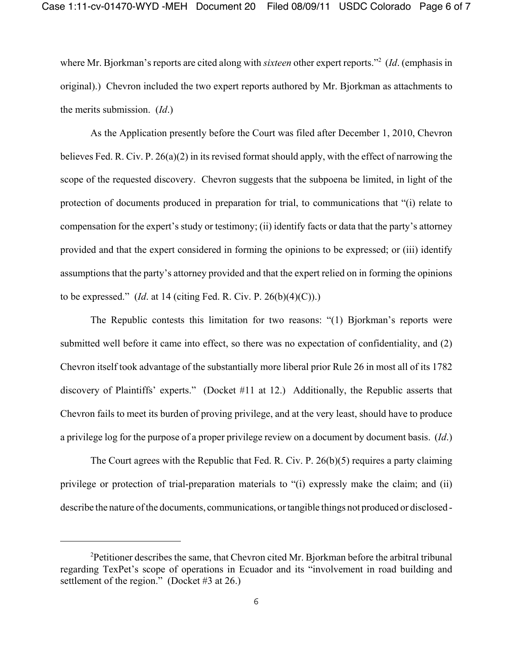where Mr. Bjorkman's reports are cited along with *sixteen* other expert reports."2 (*Id*. (emphasis in original).) Chevron included the two expert reports authored by Mr. Bjorkman as attachments to the merits submission. (*Id*.)

As the Application presently before the Court was filed after December 1, 2010, Chevron believes Fed. R. Civ. P. 26(a)(2) in its revised format should apply, with the effect of narrowing the scope of the requested discovery. Chevron suggests that the subpoena be limited, in light of the protection of documents produced in preparation for trial, to communications that "(i) relate to compensation for the expert's study or testimony; (ii) identify facts or data that the party's attorney provided and that the expert considered in forming the opinions to be expressed; or (iii) identify assumptions that the party's attorney provided and that the expert relied on in forming the opinions to be expressed." (*Id*. at 14 (citing Fed. R. Civ. P. 26(b)(4)(C)).)

The Republic contests this limitation for two reasons: "(1) Bjorkman's reports were submitted well before it came into effect, so there was no expectation of confidentiality, and (2) Chevron itself took advantage of the substantially more liberal prior Rule 26 in most all of its 1782 discovery of Plaintiffs' experts." (Docket #11 at 12.) Additionally, the Republic asserts that Chevron fails to meet its burden of proving privilege, and at the very least, should have to produce a privilege log for the purpose of a proper privilege review on a document by document basis. (*Id*.)

The Court agrees with the Republic that Fed. R. Civ. P. 26(b)(5) requires a party claiming privilege or protection of trial-preparation materials to "(i) expressly make the claim; and (ii) describe the nature of the documents, communications, or tangible things not produced or disclosed -

<sup>&</sup>lt;sup>2</sup>Petitioner describes the same, that Chevron cited Mr. Bjorkman before the arbitral tribunal regarding TexPet's scope of operations in Ecuador and its "involvement in road building and settlement of the region." (Docket #3 at 26.)